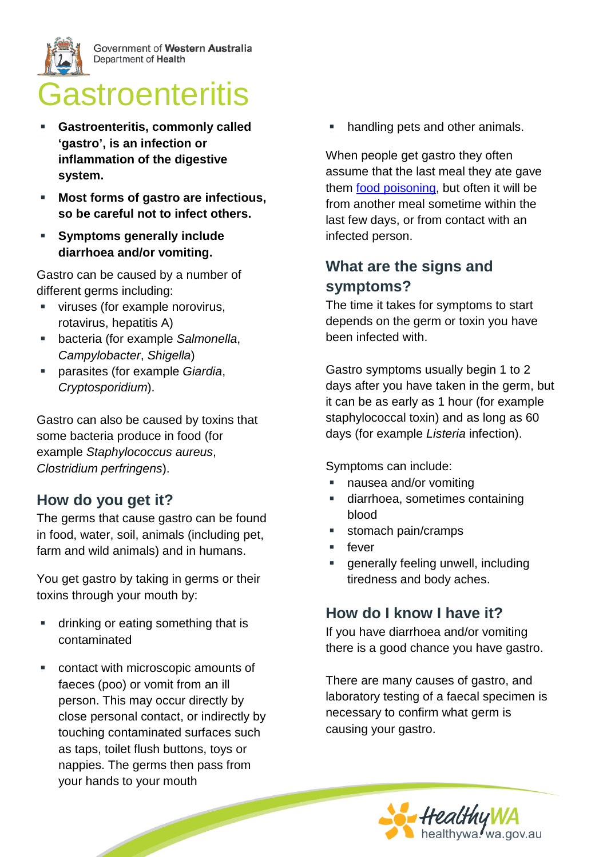

Government of Western Australia Department of Health

# Gastroenteritis

- **Gastroenteritis, commonly called 'gastro', is an infection or inflammation of the digestive system.**
- **Most forms of gastro are infectious, so be careful not to infect others.**
- **Symptoms generally include diarrhoea and/or vomiting.**

Gastro can be caused by a number of different germs including:

- **viruses (for example norovirus,** rotavirus, hepatitis A)
- bacteria (for example *Salmonella*, *Campylobacter*, *Shigella*)
- parasites (for example *Giardia*, *Cryptosporidium*).

Gastro can also be caused by toxins that some bacteria produce in food (for example *Staphylococcus aureus*, *Clostridium perfringens*).

# **How do you get it?**

The germs that cause gastro can be found in food, water, soil, animals (including pet, farm and wild animals) and in humans.

You get gastro by taking in germs or their toxins through your mouth by:

- **drinking or eating something that is** contaminated
- contact with microscopic amounts of faeces (poo) or vomit from an ill person. This may occur directly by close personal contact, or indirectly by touching contaminated surfaces such as taps, toilet flush buttons, toys or nappies. The germs then pass from your hands to your mouth

handling pets and other animals.

When people get gastro they often assume that the last meal they ate gave them [food poisoning,](http://healthywa.wa.gov.au/Articles/F_I/Food-poisoning) but often it will be from another meal sometime within the last few days, or from contact with an infected person.

# **What are the signs and symptoms?**

The time it takes for symptoms to start depends on the germ or toxin you have been infected with.

Gastro symptoms usually begin 1 to 2 days after you have taken in the germ, but it can be as early as 1 hour (for example staphylococcal toxin) and as long as 60 days (for example *Listeria* infection).

Symptoms can include:

- nausea and/or vomiting
- diarrhoea, sometimes containing blood
- **stomach pain/cramps**
- fever
- generally feeling unwell, including tiredness and body aches.

# **How do I know I have it?**

If you have diarrhoea and/or vomiting there is a good chance you have gastro.

There are many causes of gastro, and laboratory testing of a faecal specimen is necessary to confirm what germ is causing your gastro.

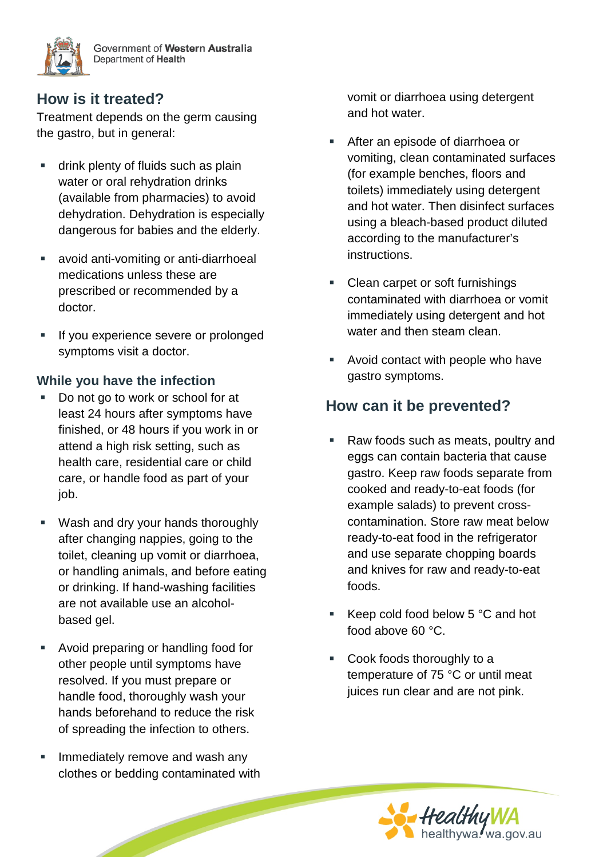

Government of Western Australia Department of Health

## **How is it treated?**

Treatment depends on the germ causing the gastro, but in general:

- drink plenty of fluids such as plain water or oral rehydration drinks (available from pharmacies) to avoid dehydration. Dehydration is especially dangerous for babies and the elderly.
- avoid anti-vomiting or anti-diarrhoeal medications unless these are prescribed or recommended by a doctor.
- If you experience severe or prolonged symptoms visit a doctor.

#### **While you have the infection**

- Do not go to work or school for at least 24 hours after symptoms have finished, or 48 hours if you work in or attend a high risk setting, such as health care, residential care or child care, or handle food as part of your job.
- Wash and dry your hands thoroughly after changing nappies, going to the toilet, cleaning up vomit or diarrhoea, or handling animals, and before eating or drinking. If hand-washing facilities are not available use an alcoholbased gel.
- Avoid preparing or handling food for other people until symptoms have resolved. If you must prepare or handle food, thoroughly wash your hands beforehand to reduce the risk of spreading the infection to others.
- Immediately remove and wash any clothes or bedding contaminated with

vomit or diarrhoea using detergent and hot water.

- After an episode of diarrhoea or vomiting, clean contaminated surfaces (for example benches, floors and toilets) immediately using detergent and hot water. Then disinfect surfaces using a bleach-based product diluted according to the manufacturer's instructions.
- Clean carpet or soft furnishings contaminated with diarrhoea or vomit immediately using detergent and hot water and then steam clean.
- Avoid contact with people who have gastro symptoms.

## **How can it be prevented?**

- Raw foods such as meats, poultry and eggs can contain bacteria that cause gastro. Keep raw foods separate from cooked and ready-to-eat foods (for example salads) to prevent crosscontamination. Store raw meat below ready-to-eat food in the refrigerator and use separate chopping boards and knives for raw and ready-to-eat foods.
- Keep cold food below  $5^{\circ}$ C and hot food above 60 °C.
- Cook foods thoroughly to a temperature of 75 °C or until meat juices run clear and are not pink.